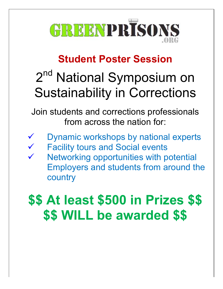

## **Student Poster Session**

## 2<sup>nd</sup> National Symposium on Sustainability in Corrections

Join students and corrections professionals from across the nation for:

- 
- Dynamic workshops by national experts
- Facility tours and Social events
- Networking opportunities with potential Employers and students from around the country

## **\$\$ At least \$500 in Prizes \$\$ \$\$ WILL be awarded \$\$**